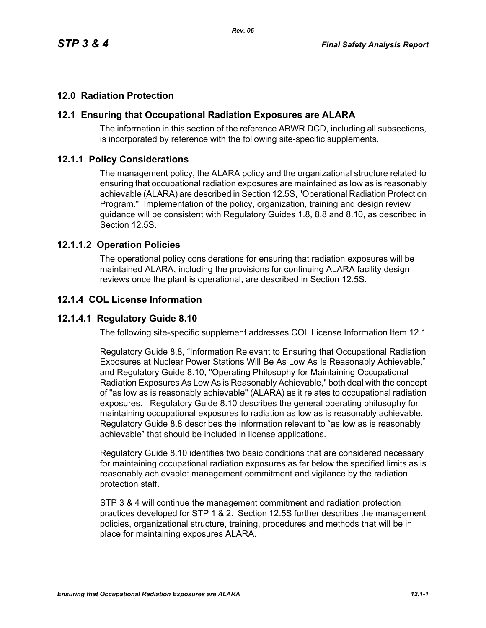# **12.0 Radiation Protection**

### **12.1 Ensuring that Occupational Radiation Exposures are ALARA**

The information in this section of the reference ABWR DCD, including all subsections, is incorporated by reference with the following site-specific supplements.

#### **12.1.1 Policy Considerations**

The management policy, the ALARA policy and the organizational structure related to ensuring that occupational radiation exposures are maintained as low as is reasonably achievable (ALARA) are described in Section 12.5S, "Operational Radiation Protection Program." Implementation of the policy, organization, training and design review guidance will be consistent with Regulatory Guides 1.8, 8.8 and 8.10, as described in Section 12.5S.

#### **12.1.1.2 Operation Policies**

The operational policy considerations for ensuring that radiation exposures will be maintained ALARA, including the provisions for continuing ALARA facility design reviews once the plant is operational, are described in Section 12.5S.

#### **12.1.4 COL License Information**

### **12.1.4.1 Regulatory Guide 8.10**

The following site-specific supplement addresses COL License Information Item 12.1.

Regulatory Guide 8.8, "Information Relevant to Ensuring that Occupational Radiation Exposures at Nuclear Power Stations Will Be As Low As Is Reasonably Achievable," and Regulatory Guide 8.10, "Operating Philosophy for Maintaining Occupational Radiation Exposures As Low As is Reasonably Achievable," both deal with the concept of "as low as is reasonably achievable" (ALARA) as it relates to occupational radiation exposures. Regulatory Guide 8.10 describes the general operating philosophy for maintaining occupational exposures to radiation as low as is reasonably achievable. Regulatory Guide 8.8 describes the information relevant to "as low as is reasonably achievable" that should be included in license applications.

Regulatory Guide 8.10 identifies two basic conditions that are considered necessary for maintaining occupational radiation exposures as far below the specified limits as is reasonably achievable: management commitment and vigilance by the radiation protection staff.

STP 3 & 4 will continue the management commitment and radiation protection practices developed for STP 1 & 2. Section 12.5S further describes the management policies, organizational structure, training, procedures and methods that will be in place for maintaining exposures ALARA.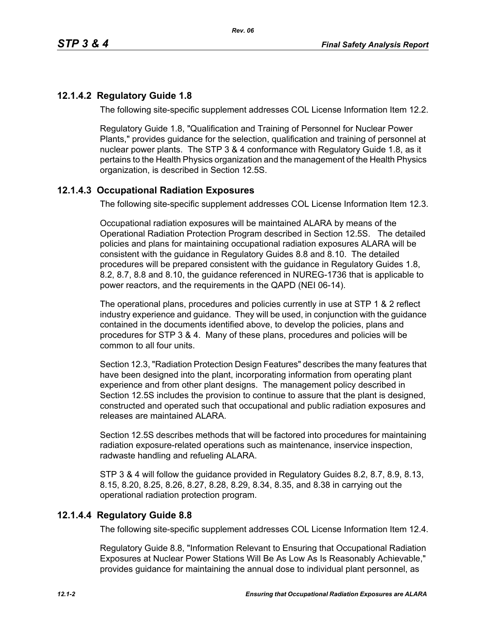# **12.1.4.2 Regulatory Guide 1.8**

The following site-specific supplement addresses COL License Information Item 12.2.

Regulatory Guide 1.8, "Qualification and Training of Personnel for Nuclear Power Plants," provides guidance for the selection, qualification and training of personnel at nuclear power plants. The STP 3 & 4 conformance with Regulatory Guide 1.8, as it pertains to the Health Physics organization and the management of the Health Physics organization, is described in Section 12.5S.

# **12.1.4.3 Occupational Radiation Exposures**

The following site-specific supplement addresses COL License Information Item 12.3.

Occupational radiation exposures will be maintained ALARA by means of the Operational Radiation Protection Program described in Section 12.5S. The detailed policies and plans for maintaining occupational radiation exposures ALARA will be consistent with the guidance in Regulatory Guides 8.8 and 8.10. The detailed procedures will be prepared consistent with the guidance in Regulatory Guides 1.8, 8.2, 8.7, 8.8 and 8.10, the guidance referenced in NUREG-1736 that is applicable to power reactors, and the requirements in the QAPD (NEI 06-14).

The operational plans, procedures and policies currently in use at STP 1 & 2 reflect industry experience and guidance. They will be used, in conjunction with the guidance contained in the documents identified above, to develop the policies, plans and procedures for STP 3 & 4. Many of these plans, procedures and policies will be common to all four units.

Section 12.3, "Radiation Protection Design Features" describes the many features that have been designed into the plant, incorporating information from operating plant experience and from other plant designs. The management policy described in Section 12.5S includes the provision to continue to assure that the plant is designed, constructed and operated such that occupational and public radiation exposures and releases are maintained ALARA

Section 12.5S describes methods that will be factored into procedures for maintaining radiation exposure-related operations such as maintenance, inservice inspection, radwaste handling and refueling ALARA.

STP 3 & 4 will follow the guidance provided in Regulatory Guides 8.2, 8.7, 8.9, 8.13, 8.15, 8.20, 8.25, 8.26, 8.27, 8.28, 8.29, 8.34, 8.35, and 8.38 in carrying out the operational radiation protection program.

### **12.1.4.4 Regulatory Guide 8.8**

The following site-specific supplement addresses COL License Information Item 12.4.

Regulatory Guide 8.8, "Information Relevant to Ensuring that Occupational Radiation Exposures at Nuclear Power Stations Will Be As Low As Is Reasonably Achievable," provides guidance for maintaining the annual dose to individual plant personnel, as